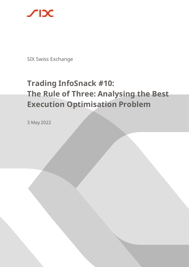

SIX Swiss Exchange

# **Trading InfoSnack #10: The Rule of Three: Analysing the Best Execution Optimisation Problem**

3 May 2022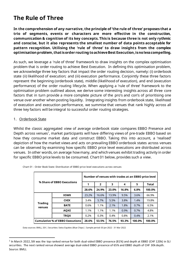## **The Rule of Three**

**In the comprehension of any narrative, the principle of 'the rule of three' proposes that a trio of segments, events or characters are more effective in the construction, communication & cognition of its key concepts. This is because three is not only rythmic and conscise, but it also represents the smallest number of data points acceptable for pattern recognition. Utilising the 'rule of three' to draw insights from the complex optimisation problem, that isorder routing to achieveBest Execution,is no less compelling.**

As such, we leverage a 'rule of three' framework to draw insights on the complex optimisation problem that is order routing to achieve Best Execution. In defining this optimisation problem, we acknowledge three key factors that impact the order routing decision, namely: (i) orderbook state (ii) likelihood of execution; and (iii) execution performance. Conjointly these three factors represent the beginning (orderbook state), middle (likelihood of execution), and end (execution performance) of the order routing lifecycle. When applying a 'rule of three' framework to the optimisation problem outlined above, we derive some interesting insights across all three core factors that in turn provide a more complete picture of the pro's and con's of prioritising one venue over another when posting liquidity. Integrating insights from orderbook state, likelihood of execution and execuction performance, we summise that venues that rank highly across all three key factors will be integral to successful order routing strategies.

#### 1. Orderbook State

Whilst the classic aggregated view of average orderbook state compares EBBO Presence and Depth across venues<sup>1</sup>, market participants will have differing views of pre-trade EBBO based on how they consume market data and construct EBBO. Taking this into account, a 'realised' depiction of how the market views and acts on prevailing EBBO orderbook states across venues can be observed by examining how specific EBBO price level executions are distributed across venues. In other words, on average how many, and which venues exhibit trading activity in order for specific EBBO price levels to be consumed. Chart 01 below, provides such a view.

| % Share of EBBO Executions             |             | Number of venues with trades at an EBBO price level |                |       |       |        |              |
|----------------------------------------|-------------|-----------------------------------------------------|----------------|-------|-------|--------|--------------|
|                                        |             | 1                                                   | $\overline{2}$ | 3     | 4     | 5      | <b>Total</b> |
|                                        |             | 28.6%                                               | 24.9%          | 23.0% | 16.8% | 6.8%   | 100.0%       |
| <b>Trading</b><br>venues               | <b>XSWX</b> | 23.2%                                               | 16.6%          | 13.9% | 9.5%  | 3.6%   | 66.9%        |
|                                        | <b>CHIX</b> | 3.4%                                                | 5.7%           | 5.5%  | 3.8%  | 1.4%   | 19.8%        |
|                                        | <b>BATE</b> | 0.6%                                                | 1.1%           | 2.1%  | 1.8%  | 0.7%   | 6.5%         |
|                                        | <b>AQXE</b> | 1.1%                                                | 1.1%           | 1.1%  | 0.9%  | 0.7%   | 4.8%         |
|                                        | <b>TRQX</b> | 0.2%                                                | 0.3%           | 0.4%  | 0.8%  | 0.4%   | 2.1%         |
| <b>Cumulative % of EBBO Executions</b> |             | 28.6%                                               | 53.5%          | 76.5% | 93.3% | 100.0% | 100.0%       |

Chart 01 - Order Book State: Distribution of EBBO price level executions across venues

Data sources: BMLL, SIX | Securities: Swiss Equities (Blue Chips) | Sample period: 03 Jan 2022 - 31 Mar 2022

<sup>&</sup>lt;sup>1</sup> In March 2022, SIX was the top ranked venue for both dual-sided EBBO presence (81%) and depth at EBBO (CHF 120k) in SLI securities. The next ranked venue showed average dual-sided EBBO presence of 65% and EBBO depth of CHF 30k depth. Source: BMLL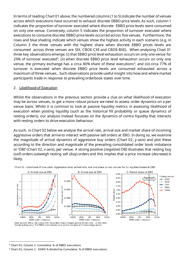In terms of reading Chart 01 above, the numbered columns (1 to 5) indicate the number of venues across which executions have occurred to exhaust discrete EBBO price levels. As such, column 1 indicates the proportion of turnover executed where discrete EBBO price levels were consumed on only one venue. Conversely, column 5 indicates the proportion of turnover executed where executions to consume discrete EBBO price levels occurred across five venues. Furthermore, the rows and blue shading indicate which venues show the highest activity in each scenario (e.g. in Column 3 the three venues with the highest share when discrete EBBO prices levels are consumed across three venues are SIX, CBOE-CXE and CBOE-BXE). When analysing Chart 01 three key observations emerge; (i) that EBBO price level exhaustion occurs on only one venue for 29% of turnover executed<sup>2</sup>; (ii) when discrete EBBO price level exhaustion occurs on only one venue, the primary exchange has a circa 80% share of these executions<sup>3</sup>; and (iii) circa 77% of turnover is executed when discrete EBBO price levels are consumed exhausted across a maximum of three venues.. Such observations provide useful insight into how and where market participants trade in response to prevailing orderbook states over time.

#### 2. Likelihood of Execution

Whilst the observations in the previous section provide a clue on what likelihood of execution may be across venues, to get a more robust picture we need to assess order dynamics on a per venue basis. Whilst it is common to look at passive liquidity metrics in assessing likelihood of execution when posting liquidity (such as the historical fill probability or queue dynamics of resting orders), our analysis instead focusses on the dynamics of contra liquidity that interacts with resting orders to drive execution behaviour.

As such, in Chart 02 below we analyse the arrival rate, arrival size and market share of incoming aggressive orders that arrive to interact with passive sell orders at EBO. In doing so, we examine the magnitude of arrival dynamics of aggressive buy orders (Chart 02, y-axis) and plot these according to the direction and magnitude of the prevailing consolidated order book imbalance or 'OBI' (Chart 02, x-axis), per venue. A strong positive (*negative*) OBI illustrates that resting buy (*sell*) orders outweigh resting sell (*buy*) orders and this implies that a price increase (*decrease*) is likely.



Chart 02 - Likelihood of Execution: Aggressive order arrival rate, size and share across venues for SLI equities traded at EBO

<sup>2</sup> Chart 01, Column 1: Cumulative % of EBBO executions

<sup>3</sup> Chart 01, Column 1: XSWX % divided by Cumulative % of EBBO executions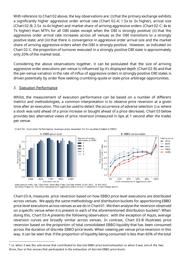With reference to Chart 02 above, the key observations are: (i) that the primary exchange exhibits a significantly higher aggressive order arrival rate (Chart 02-A; 1.5x to 3x higher), arrival size (Chart 02-B; 2.5x to 4x higher) and market share of arriving aggressive orders (Chart 02-C; 4x to 7x higher) than MTFs for all OBI states except when the OBI is strongly positive; (ii) that the aggressive order arrival rate increases across all venues as the OBI transitions to a strongly positive state; and (iii) that there is convergence in aggressive order arrival size and the market share of arriving aggressive orders when the OBI is strongly positive. However, as indicated on Chart 02-C, the proportion of turnover executed in a strongly positive OBI state is approximately only 20% of the market total.

Considering the above observations together, it can be postulated that the size of arriving aggressive order executions per-venue is influenced by it's displayed depth (Chart 02-B) and that the per-venue variation in the rate of influx of aggressive orders in strongly positive OBI states is driven potentially by order flow seeking crumbling-quote or stale-price arbitrage opportunities.

#### 3. Execution Performance

Whilst, the measurement of execution performance can be based on a number of different metrics and methodologies, a common interpretation is to observe price reversion at a given time after an execution. This can be used to detect the occurrence of adverse selection (i.e. where a stock was sold ahead of a price increase or bought ahead of a price decrease). Chart 03 below provides two alternative views of price reversion (measured in bps at 1 second after the trade) per venue.



Chart 03 - Execution Performance: Average price reversion for SLI equities traded at EBBO

Data sources: BMLL, SIX | Securities: Swiss Blue Chips | Sample period: 03 Jan 2022 - 31 Mar 2022 Sampling frequency: The EBBO consumption of aggressive orders (x-axis) is sampled at 10 percentage points.

Chart 03-A, measures price reversion based on how EBBO price level executions are distributed across venues. We apply the same methodology and distribution buckets for apportioning EBBO price level executions across venues as we do in Chart 01. We then analyse the reversion observed on a specific venue when it is present in each of the aforementioned distribution buckets<sup>4</sup>. When doing this, Chart 03-A presents the following observation: with the exception of Aquis, average reversion curves are broadly similar across venues. In contrast, Chart 03-B illustrates price reversion based on the proportion of total consolidated EBBO liquidity that has been consumed across the duration of discrete EBBO price levels. When viewing per venue price reversion in this way, it can be seen that if the proportion of liquidity being consumed is less than 60% of the total

<sup>&</sup>lt;sup>4</sup> i.e. when it was the sole venue that contributed to discrete EBBO price level exhaustion or when it was one of the two, three, four or five venues that participated in the exhaustion of discrete EBBO price levels.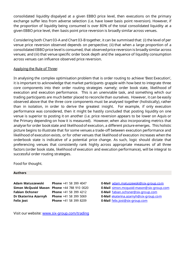consolidated liquidity dispalyed at a given EBBO price level, then executions on the primary exchange suffer less from adverse selection (i.e. have lower basis point reversion). However, if the proportion of liquidity being consumed is over 80% of the total consolidated liquidity at a given EBBO price level, then basis point price reversion is broadly similar across venues.

Considering both Chart 03-A and Chart 03-B together, it can be summised that: (i) the level of per venue price reversion observed depends on perspective; (ii) that when a large proportion of a consolidated EBBO price level is consumed, that observed price reversion is broadly similar across venues; and (iii) that venue specific order book depth and the sequence of liquidity consumption across venues can influence observed price reversion.

### Applying the Rule of Three:

In analysing the complex optimisation problem that is order routing to achieve 'Best Execution', it is important to acknowledge that market participants grapple with how best to integrate three core components into their order routing strategies namely; order book state, likelihood of execution and execution performance. This is an unenviable task, and something which our trading participants are much better placed to reconcile than ourselves. However, it can be easily observed above that the three core components must be analysed together (holistically), rather than in isolation, in order to derive the greatest insight. For example, if only execution performance was considered, then it might be hastily concluded that posting liquidity on one venue is superior to posting it on another (i.e. price reversion appears to be lower on Aquis or the Primary depending on how it is measured). However, when also incorporating metrics that analyse for order book state and likelihood of execution, a different picture emerges. This holistic picture begins to illustrate that for some venues a trade-off between execution performance and likelihood of execution exists, or for other venues that likelihood of execution increases when the orderbook state is indicative of a potential price change. As such, logic should dictate that preferencing venues that consistently rank highly across appropriate measures of all three factors (order book state, likelihood of execution and execution performance), will be integral to successful order routing strategies.

Food for thought.

#### **Authors**

| Adam Matuszewski                           | <b>Phone +41 58 399 4047</b> |
|--------------------------------------------|------------------------------|
| Simon McQuoid Mason Phone +44 788 910 0020 |                              |
| <b>Fabian Ochsner</b>                      | Phone +41 58 399 4212        |
| Dr Ekaterina Azarnyh                       | Phone +41 58 399 5069        |
| <b>Felix Jost</b>                          | Phone +41 58 399 8209        |

Visit our website: [www.six-group.com/trading](http://www.six-group.com/trading)

**E-Mail** [adam.matuszewski@six-group.com](mailto:adam.matuszewski@six-group.com?subject=InfoSnack)

**E-Mail** [simon.mcquoid-mason@six-group.com](mailto:simon.mcquoid-mason@six-group.com?subject=InfoSnack)

**E-Mail** [fabian.ochsner@six-group.com](mailto:fabian.ochsner@six-group.com?subject=InfoSnack)

**E-Mail** ekaterina azarnyh@six-group.com

**E-Mail** [felix.jost@six-group.com](mailto:felix.jost@six-group.com)